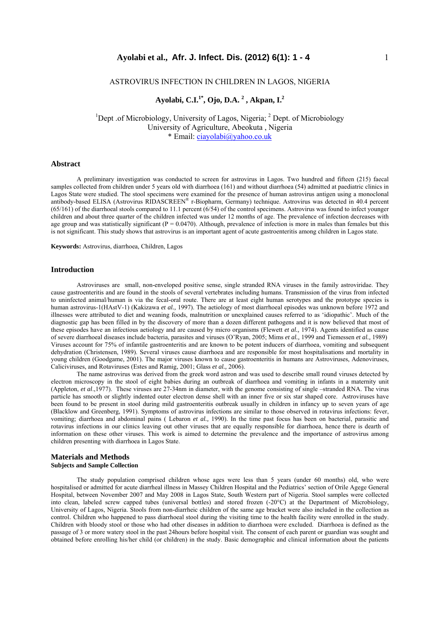### ASTROVIRUS INFECTION IN CHILDREN IN LAGOS, NIGERIA

# **Ayolabi, C.I.1\*, Ojo, D.A. 2 , Akpan, I.2**

<sup>1</sup>Dept .of Microbiology, University of Lagos, Nigeria; <sup>2</sup> Dept. of Microbiology University of Agriculture, Abeokuta , Nigeria \* Email: ciayolabi@yahoo.co.uk

#### **Abstract**

A preliminary investigation was conducted to screen for astrovirus in Lagos. Two hundred and fifteen (215) faecal samples collected from children under 5 years old with diarrhoea (161) and without diarrhoea (54) admitted at paediatric clinics in Lagos State were studied. The stool specimens were examined for the presence of human astrovirus antigen using a monoclonal antibody-based ELISA (Astrovirus RIDASCREEN® r-Biopharm, Germany) technique. Astrovirus was detected in 40.4 percent (65/161) of the diarrhoeal stools compared to 11.1 percent (6/54) of the control specimens. Astrovirus was found to infect younger children and about three quarter of the children infected was under 12 months of age. The prevalence of infection decreases with age group and was statistically significant ( $P = 0.0470$ ). Although, prevalence of infection is more in males than females but this is not significant. This study shows that astrovirus is an important agent of acute gastroenteritis among children in Lagos state.

**Keywords:** Astrovirus, diarrhoea, Children, Lagos

#### **Introduction**

Astroviruses are small, non-enveloped positive sense, single stranded RNA viruses in the family astroviridae. They cause gastroenteritis and are found in the stools of several vertebrates including humans. Transmission of the virus from infected to uninfected animal/human is via the fecal-oral route. There are at least eight human serotypes and the prototype species is human astrovirus-1(HAstV-1) (Kakizawa *et al.,* 1997). The aetiology of most diarrhoeal episodes was unknown before 1972 and illnesses were attributed to diet and weaning foods, malnutrition or unexplained causes referred to as 'idiopathic'. Much of the diagnostic gap has been filled in by the discovery of more than a dozen different pathogens and it is now believed that most of these episodes have an infectious aetiology and are caused by micro organisms (Flewett *et al.,* 1974). Agents identified as cause of severe diarrhoeal diseases include bacteria, parasites and viruses (O'Ryan, 2005; Mims *et al.,* 1999 and Tiemessen *et al.,* 1989) Viruses account for 75% of infantile gastroenteritis and are known to be potent inducers of diarrhoea, vomiting and subsequent dehydration (Christensen, 1989). Several viruses cause diarrhoea and are responsible for most hospitalisations and mortality in young children (Goodgame, 2001). The major viruses known to cause gastroenteritis in humans are Astroviruses, Adenoviruses, Caliciviruses, and Rotaviruses (Estes and Ramig, 2001; Glass *et al.,* 2006).

The name astrovirus was derived from the greek word astron and was used to describe small round viruses detected by electron microscopy in the stool of eight babies during an outbreak of diarrhoea and vomiting in infants in a maternity unit (Appleton, *et al*.,1977). These viruses are 27-34nm in diameter, with the genome consisting of single –stranded RNA. The virus particle has smooth or slightly indented outer electron dense shell with an inner five or six star shaped core. Astroviruses have been found to be present in stool during mild gastroenteritis outbreak usually in children in infancy up to seven years of age (Blacklow and Greenberg, 1991). Symptoms of astrovirus infections are similar to those observed in rotavirus infections: fever, vomiting; diarrhoea and abdominal pains ( Lebaron *et al.,* 1990). In the time past focus has been on bacterial, parasitic and rotavirus infections in our clinics leaving out other viruses that are equally responsible for diarrhoea, hence there is dearth of information on these other viruses. This work is aimed to determine the prevalence and the importance of astrovirus among children presenting with diarrhoea in Lagos State.

# **Materials and Methods**

### **Subjects and Sample Collection**

The study population comprised children whose ages were less than 5 years (under 60 months) old, who were hospitalised or admitted for acute diarrheal illness in Massey Children Hospital and the Pediatrics' section of Orile Agege General Hospital, between November 2007 and May 2008 in Lagos State, South Western part of Nigeria. Stool samples were collected into clean, labeled screw capped tubes (universal bottles) and stored frozen (-20°C) at the Department of Microbiology, University of Lagos, Nigeria. Stools from non-diarrheic children of the same age bracket were also included in the collection as control. Children who happened to pass diarrhoeal stool during the visiting time to the health facility were enrolled in the study. Children with bloody stool or those who had other diseases in addition to diarrhoea were excluded. Diarrhoea is defined as the passage of 3 or more watery stool in the past 24hours before hospital visit. The consent of each parent or guardian was sought and obtained before enrolling his/her child (or children) in the study. Basic demographic and clinical information about the patients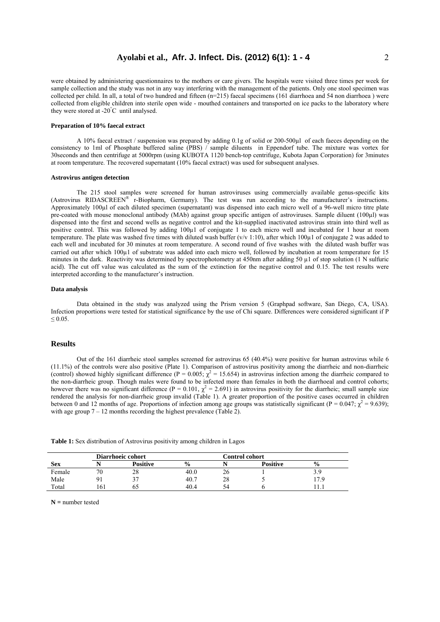were obtained by administering questionnaires to the mothers or care givers. The hospitals were visited three times per week for sample collection and the study was not in any way interfering with the management of the patients. Only one stool specimen was collected per child. In all, a total of two hundred and fifteen (n=215) faecal specimens (161 diarrhoea and 54 non diarrhoea ) were collected from eligible children into sterile open wide - mouthed containers and transported on ice packs to the laboratory where they were stored at -20° C until analysed.

### **Preparation of 10% faecal extract**

A 10% faecal extract / suspension was prepared by adding 0.1g of solid or 200-500µl of each faeces depending on the consistency to 1ml of Phosphate buffered saline (PBS) / sample diluents in Eppendorf tube. The mixture was vortex for 30seconds and then centrifuge at 5000rpm (using KUBOTA 1120 bench-top centrifuge, Kubota Japan Corporation) for 3minutes at room temperature. The recovered supernatant (10% faecal extract) was used for subsequent analyses.

#### **Astrovirus antigen detection**

The 215 stool samples were screened for human astroviruses using commercially available genus-specific kits (Astrovirus RIDASCREEN® r-Biopharm, Germany). The test was run according to the manufacturer's instructions. Approximately 100µl of each diluted specimen (supernatant) was dispensed into each micro well of a 96-well micro titre plate pre-coated with mouse monoclonal antibody (MAb) against group specific antigen of astroviruses. Sample diluent (100µl) was dispensed into the first and second wells as negative control and the kit-supplied inactivated astrovirus strain into third well as positive control. This was followed by adding 100µ1 of conjugate 1 to each micro well and incubated for 1 hour at room temperature. The plate was washed five times with diluted wash buffer ( $v/v$  1:10), after which 100 $\mu$ 1 of conjugate 2 was added to each well and incubated for 30 minutes at room temperature. A second round of five washes with the diluted wash buffer was carried out after which 100µ1 of substrate was added into each micro well, followed by incubation at room temperature for 15 minutes in the dark. Reactivity was determined by spectrophotometry at 450nm after adding 50  $\mu$ 1 of stop solution (1 N sulfuric acid). The cut off value was calculated as the sum of the extinction for the negative control and 0.15. The test results were interpreted according to the manufacturer's instruction.

#### **Data analysis**

Data obtained in the study was analyzed using the Prism version 5 (Graphpad software, San Diego, CA, USA). Infection proportions were tested for statistical significance by the use of Chi square. Differences were considered significant if P  $\leq 0.05$ .

### **Results**

Out of the 161 diarrheic stool samples screened for astrovirus 65 (40.4%) were positive for human astrovirus while 6 (11.1%) of the controls were also positive (Plate 1). Comparison of astrovirus positivity among the diarrheic and non-diarrheic (control) showed highly significant difference (P = 0.005;  $\chi^2$  = 15.654) in astrovirus infection among the diarrheic compared to the non-diarrheic group. Though males were found to be infected more than females in both the diarrhoeal and control cohorts; however there was no significant difference ( $P = 0.101$ ,  $\chi^2 = 2.691$ ) in astrovirus positivity for the diarrheic; small sample size rendered the analysis for non-diarrheic group invalid (Table 1). A greater proportion of the positive cases occurred in children between 0 and 12 months of age. Proportions of infection among age groups was statistically significant ( $P = 0.047$ ;  $\chi^2 = 9.639$ ); with age group  $7 - 12$  months recording the highest prevalence (Table 2).

|  | Table 1: Sex distribution of Astrovirus positivity among children in Lagos |  |  |  |  |
|--|----------------------------------------------------------------------------|--|--|--|--|
|  |                                                                            |  |  |  |  |

|            |    | Diarrhoeic cohort |               |    |                 |               |
|------------|----|-------------------|---------------|----|-----------------|---------------|
| <b>Sex</b> |    | <b>Positive</b>   | $\frac{0}{0}$ |    | <b>Positive</b> | $\frac{0}{0}$ |
| Female     | 70 | 20                | 40.0          | 40 |                 |               |
| Male       |    |                   | 40.7          | 28 |                 | 7.9           |
| Total      | 61 |                   | 40.4          | 54 |                 |               |

**N =** number tested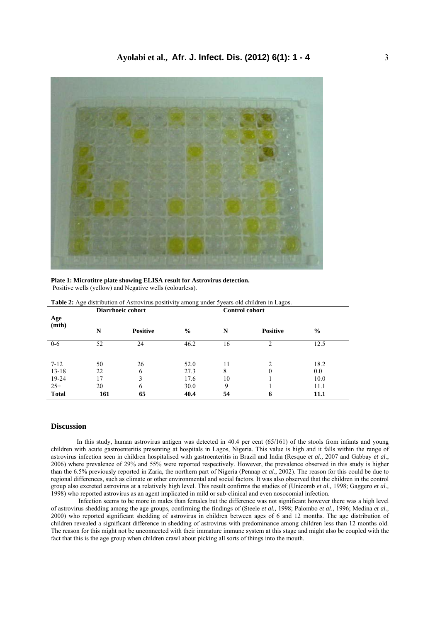

**Plate 1: Microtitre plate showing ELISA result for Astrovirus detection.**  Positive wells (yellow) and Negative wells (colourless).

| Age<br>(mth) |     | Baarnoole conore |               | comu or comor e |                 |               |  |
|--------------|-----|------------------|---------------|-----------------|-----------------|---------------|--|
|              | N   | <b>Positive</b>  | $\frac{0}{0}$ | N               | <b>Positive</b> | $\frac{6}{6}$ |  |
| $0-6$        | 52  | 24               | 46.2          | 16              | າ               | 12.5          |  |
| $7 - 12$     | 50  | 26               | 52.0          | 11              |                 | 18.2          |  |
| $13 - 18$    | 22  | 6                | 27.3          | 8               | 0               | 0.0           |  |
| 19-24        | 17  | 3                | 17.6          | 10              |                 | 10.0          |  |
| $25+$        | 20  | 6                | 30.0          | 9               |                 | 11.1          |  |
| <b>Total</b> | 161 | 65               | 40.4          | 54              | 6               | 11.1          |  |

Table 2: Age distribution of Astrovirus positivity among under 5 years old children in Lagos.

**Diarrhoeic cohort Control cohort** 

### **Discussion**

In this study, human astrovirus antigen was detected in 40.4 per cent (65/161) of the stools from infants and young children with acute gastroenteritis presenting at hospitals in Lagos, Nigeria. This value is high and it falls within the range of astrovirus infection seen in children hospitalised with gastroenteritis in Brazil and India (Resque *et al.,* 2007 and Gabbay *et al*., 2006) where prevalence of 29% and 55% were reported respectively. However, the prevalence observed in this study is higher than the 6.5% previously reported in Zaria, the northern part of Nigeria (Pennap *et al*., 2002). The reason for this could be due to regional differences, such as climate or other environmental and social factors. It was also observed that the children in the control group also excreted astrovirus at a relatively high level. This result confirms the studies of (Unicomb *et al.,* 1998; Gaggero *et al.,* 1998) who reported astrovirus as an agent implicated in mild or sub-clinical and even nosocomial infection.

 Infection seems to be more in males than females but the difference was not significant however there was a high level of astrovirus shedding among the age groups, confirming the findings of (Steele *et al.,* 1998; Palombo *et al*., 1996; Medina *et al.,* 2000) who reported significant shedding of astrovirus in children between ages of 6 and 12 months. The age distribution of children revealed a significant difference in shedding of astrovirus with predominance among children less than 12 months old. The reason for this might not be unconnected with their immature immune system at this stage and might also be coupled with the fact that this is the age group when children crawl about picking all sorts of things into the mouth.